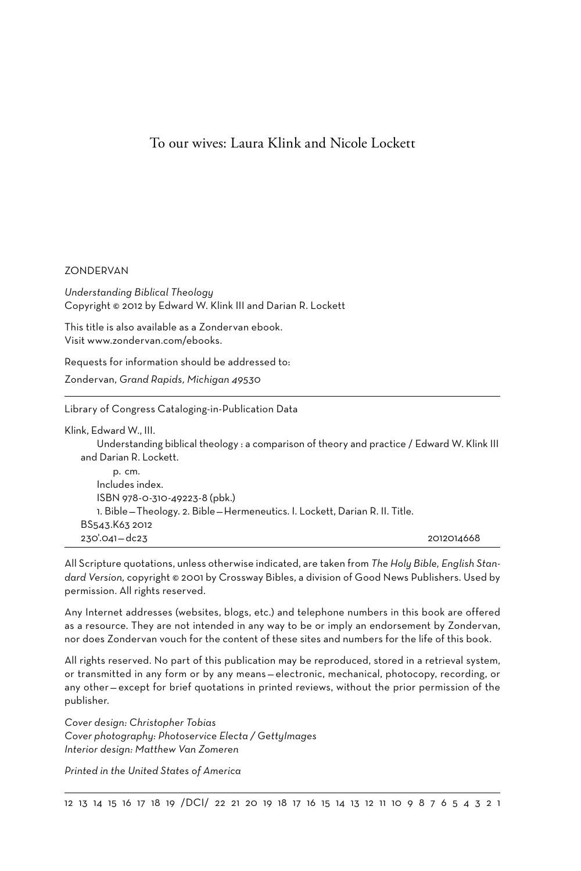### To our wives: Laura Klink and Nicole Lockett

#### ZONDERVAN

*Understanding Biblical Theology* Copyright © 2012 by Edward W. Klink III and Darian R. Lockett

This title is also available as a Zondervan ebook. Visit www.zondervan.com/ebooks.

Requests for information should be addressed to:

Zondervan, *Grand Rapids, Michigan 49530*

Library of Congress Cataloging-in-Publication Data

Klink, Edward W., III. Understanding biblical theology : a comparison of theory and practice / Edward W. Klink III and Darian R. Lockett. p. cm. Includes index. ISBN 978-0-310-49223-8 (pbk.) 1. Bible—Theology. 2. Bible—Hermeneutics. I. Lockett, Darian R. II. Title. BS543.K63 2012 230'.041— dc23 2012014668

All Scripture quotations, unless otherwise indicated, are taken from *The Holy Bible, English Standard Version,* copyright © 2001 by Crossway Bibles, a division of Good News Publishers. Used by permission. All rights reserved.

Any Internet addresses (websites, blogs, etc.) and telephone numbers in this book are offered as a resource. They are not intended in any way to be or imply an endorsement by Zondervan, nor does Zondervan vouch for the content of these sites and numbers for the life of this book.

All rights reserved. No part of this publication may be reproduced, stored in a retrieval system, or transmitted in any form or by any means— electronic, mechanical, photocopy, recording, or any other— except for brief quotations in printed reviews, without the prior permission of the publisher.

*Cover design: Christopher Tobias Cover photography: Photoservice Electa / GettyImages Interior design: Matthew Van Zomeren*

*Printed in the United States of America*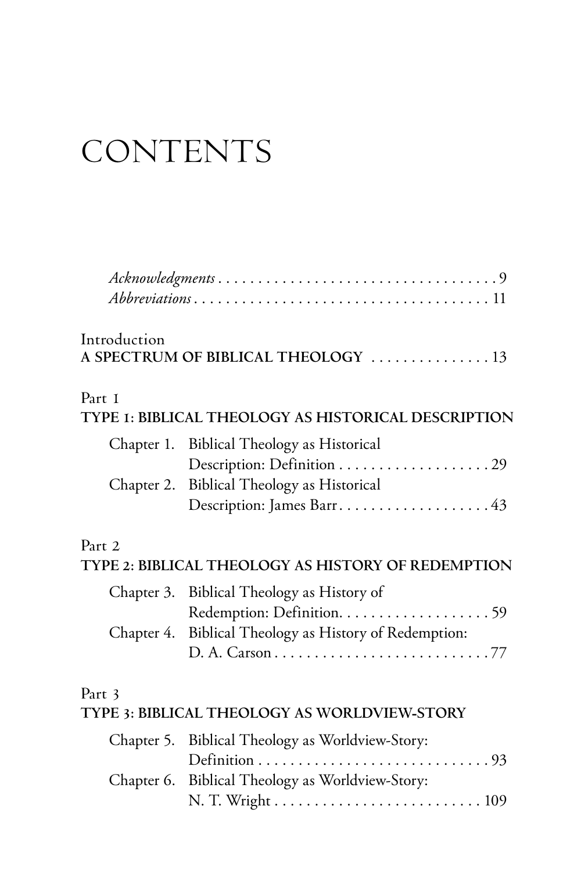# **CONTENTS**

|              | $Abbreviations \ldots \ldots \ldots \ldots \ldots \ldots \ldots \ldots \ldots \ldots \ldots \ldots 11$ |
|--------------|--------------------------------------------------------------------------------------------------------|
| Introduction | A SPECTRUM OF BIBLICAL THEOLOGY 13                                                                     |
| Part 1       | TYPE 1: BIBLICAL THEOLOGY AS HISTORICAL DESCRIPTION                                                    |
|              | Chapter 1. Biblical Theology as Historical                                                             |
|              | Chapter 2. Biblical Theology as Historical                                                             |
|              | Description: James Barr43                                                                              |
| Part 2       | TYPE 2: BIBLICAL THEOLOGY AS HISTORY OF REDEMPTION                                                     |
|              | Chapter 3. Biblical Theology as History of                                                             |
|              |                                                                                                        |
|              | Chapter 4. Biblical Theology as History of Redemption:                                                 |
| Part 3       |                                                                                                        |
|              | TYPE 3: BIBLICAL THEOLOGY AS WORLDVIEW-STORY                                                           |
|              | Chapter 5. Biblical Theology as Worldview-Story:                                                       |
|              | Chapter 6. Biblical Theology as Worldview-Story:                                                       |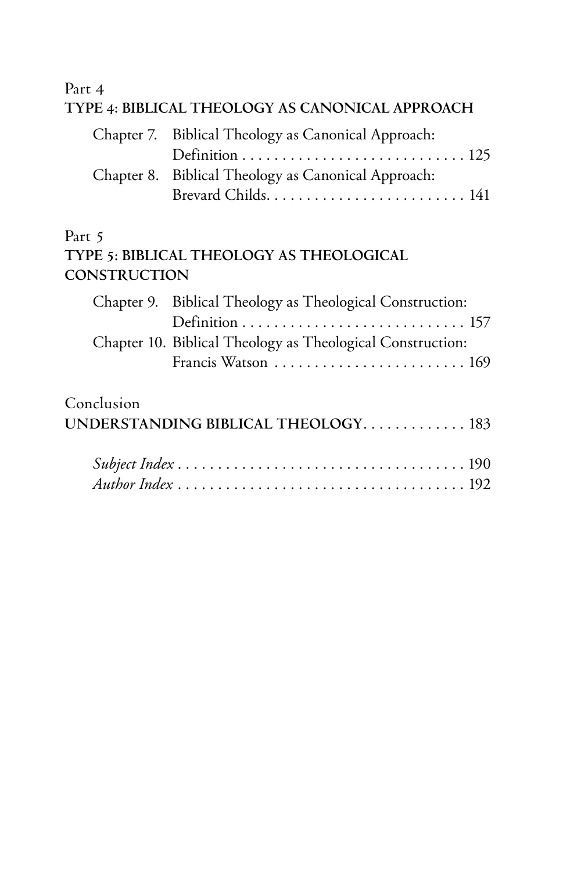### Part 4 **TYPE 4: BIBLICAL THEOLOGY AS CANONICAL APPROACH**

| Chapter 7. Biblical Theology as Canonical Approach: |  |
|-----------------------------------------------------|--|
|                                                     |  |
| Chapter 8. Biblical Theology as Canonical Approach: |  |
|                                                     |  |

### Part 5

### **TYPE 5: BIBLICAL THEOLOGY AS THEOLOGICAL CONSTRUCTION**

| Chapter 9. Biblical Theology as Theological Construction:  |
|------------------------------------------------------------|
|                                                            |
| Chapter 10. Biblical Theology as Theological Construction: |
|                                                            |
|                                                            |

### Conclusion

| UNDERSTANDING BIBLICAL THEOLOGY 183 |  |
|-------------------------------------|--|
|                                     |  |
|                                     |  |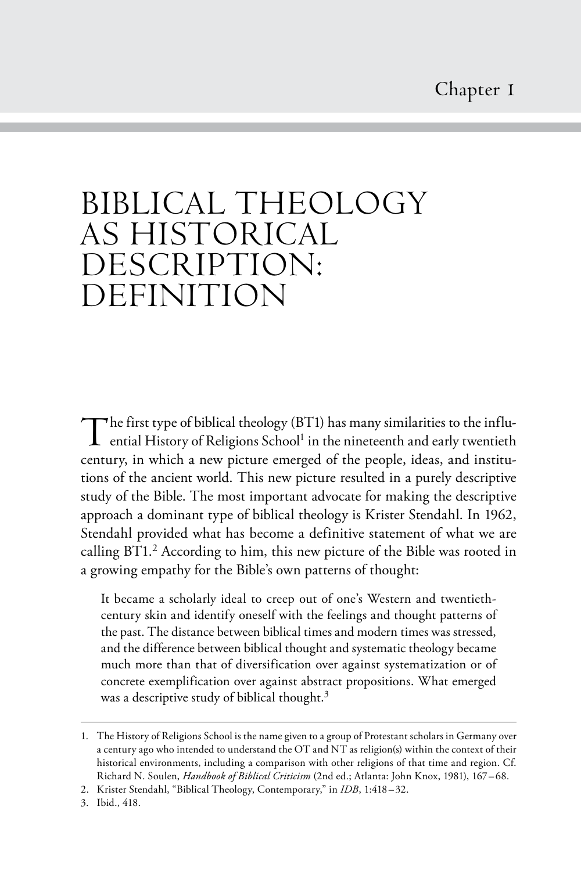## BIBLICAL THEOLOGY AS HISTORICAL DESCRIPTION: DEFINITION

The first type of biblical theology (BT1) has many similarities to the influential History of Religions School<sup>1</sup> in the nineteenth and early twentieth century, in which a new picture emerged of the people, ideas, and institutions of the ancient world. This new picture resulted in a purely descriptive study of the Bible. The most important advocate for making the descriptive approach a dominant type of biblical theology is Krister Stendahl. In 1962, Stendahl provided what has become a definitive statement of what we are calling BT1. 2 According to him, this new picture of the Bible was rooted in a growing empathy for the Bible's own patterns of thought:

It became a scholarly ideal to creep out of one's Western and twentiethcentury skin and identify oneself with the feelings and thought patterns of the past. The distance between biblical times and modern times was stressed, and the difference between biblical thought and systematic theology became much more than that of diversification over against systematization or of concrete exemplification over against abstract propositions. What emerged was a descriptive study of biblical thought. $^3$ 

3. Ibid., 418.

<sup>1.</sup> The History of Religions School is the name given to a group of Protestant scholars in Germany over a century ago who intended to understand the OT and NT as religion(s) within the context of their historical environments, including a comparison with other religions of that time and region. Cf. Richard N. Soulen, *Handbook of Biblical Criticism* (2nd ed.; Atlanta: John Knox, 1981), 167 –68.

<sup>2.</sup> Krister Stendahl, "Biblical Theology, Contemporary," in *IDB*, 1:418–32.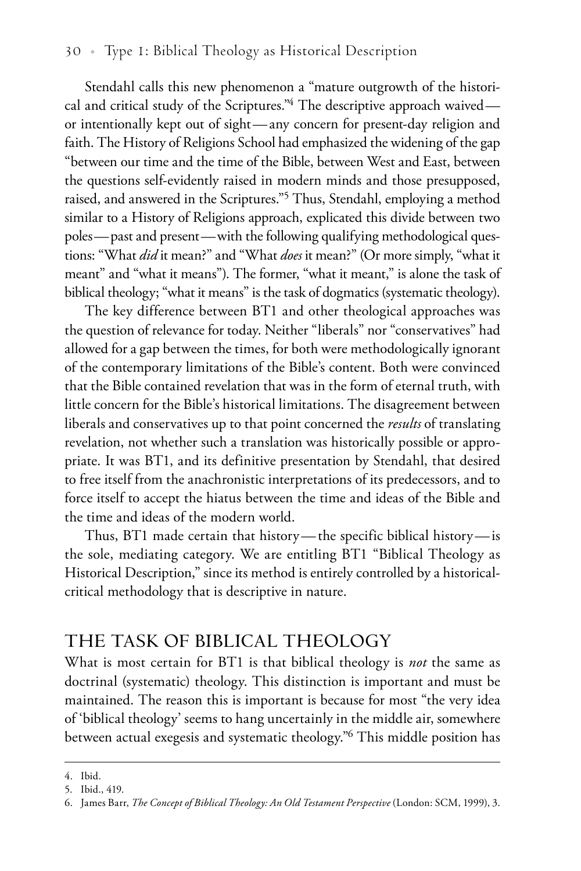### 30 • Type 1: Biblical Theology as Historical Description

Stendahl calls this new phenomenon a "mature outgrowth of the historical and critical study of the Scriptures.<sup>"4</sup> The descriptive approach waived or intentionally kept out of sight— any concern for present-day religion and faith. The History of Religions School had emphasized the widening of the gap "between our time and the time of the Bible, between West and East, between the questions self-evidently raised in modern minds and those presupposed, raised, and answered in the Scriptures."5 Thus, Stendahl, employing a method similar to a History of Religions approach, explicated this divide between two poles— past and present— with the following qualifying methodological questions: "What *did* it mean?" and "What *does* it mean?" (Or more simply, "what it meant" and "what it means"). The former, "what it meant," is alone the task of biblical theology; "what it means" is the task of dogmatics (systematic theology).

The key difference between BT1 and other theological approaches was the question of relevance for today. Neither "liberals" nor "conservatives" had allowed for a gap between the times, for both were methodologically ignorant of the contemporary limitations of the Bible's content. Both were convinced that the Bible contained revelation that was in the form of eternal truth, with little concern for the Bible's historical limitations. The disagreement between liberals and conservatives up to that point concerned the *results* of translating revelation, not whether such a translation was historically possible or appropriate. It was BT1, and its definitive presentation by Stendahl, that desired to free itself from the anachronistic interpretations of its predecessors, and to force itself to accept the hiatus between the time and ideas of the Bible and the time and ideas of the modern world.

Thus, BT1 made certain that history— the specific biblical history— is the sole, mediating category. We are entitling BT1 "Biblical Theology as Historical Description," since its method is entirely controlled by a historicalcritical methodology that is descriptive in nature.

### THE TASK OF BIBLICAL THEOLOGY

What is most certain for BT1 is that biblical theology is *not* the same as doctrinal (systematic) theology. This distinction is important and must be maintained. The reason this is important is because for most "the very idea of 'biblical theology' seems to hang uncertainly in the middle air, somewhere between actual exegesis and systematic theology."6 This middle position has

<sup>4.</sup> Ibid.

<sup>5.</sup> Ibid., 419.

<sup>6.</sup> James Barr, *The Concept of Biblical Theology: An Old Testament Perspective* (London: SCM, 1999), 3.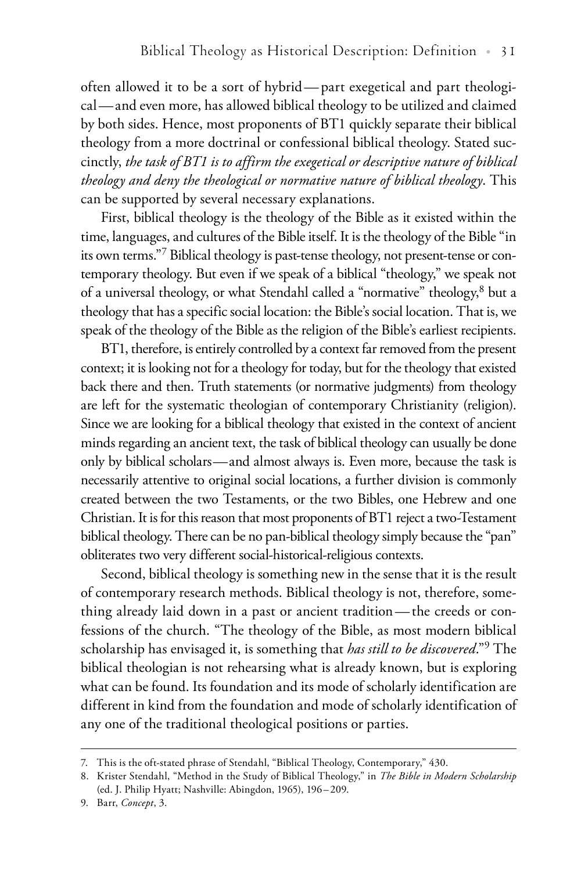often allowed it to be a sort of hybrid— part exegetical and part theological— and even more, has allowed biblical theology to be utilized and claimed by both sides. Hence, most proponents of BT1 quickly separate their biblical theology from a more doctrinal or confessional biblical theology. Stated succinctly, *the task of BT1 is to affirm the exegetical or descriptive nature of biblical theology and deny the theological or normative nature of biblical theology*. This can be supported by several necessary explanations.

First, biblical theology is the theology of the Bible as it existed within the time, languages, and cultures of the Bible itself. It is the theology of the Bible "in its own terms."7 Biblical theology is past-tense theology, not present-tense or contemporary theology. But even if we speak of a biblical "theology," we speak not of a universal theology, or what Stendahl called a "normative" theology, <sup>8</sup> but a theology that has a specific social location: the Bible's social location. That is, we speak of the theology of the Bible as the religion of the Bible's earliest recipients.

BT1, therefore, is entirely controlled by a context far removed from the present context; it is looking not for a theology for today, but for the theology that existed back there and then. Truth statements (or normative judgments) from theology are left for the systematic theologian of contemporary Christianity (religion). Since we are looking for a biblical theology that existed in the context of ancient minds regarding an ancient text, the task of biblical theology can usually be done only by biblical scholars— and almost always is. Even more, because the task is necessarily attentive to original social locations, a further division is commonly created between the two Testaments, or the two Bibles, one Hebrew and one Christian. It is for this reason that most proponents of BT1 reject a two-Testament biblical theology. There can be no pan-biblical theology simply because the "pan" obliterates two very different social-historical-religious contexts.

Second, biblical theology is something new in the sense that it is the result of contemporary research methods. Biblical theology is not, therefore, something already laid down in a past or ancient tradition— the creeds or confessions of the church. "The theology of the Bible, as most modern biblical scholarship has envisaged it, is something that *has still to be discovered*."9 The biblical theologian is not rehearsing what is already known, but is exploring what can be found. Its foundation and its mode of scholarly identification are different in kind from the foundation and mode of scholarly identification of any one of the traditional theological positions or parties.

<sup>7.</sup> This is the oft-stated phrase of Stendahl, "Biblical Theology, Contemporary," 430.

<sup>8.</sup> Krister Stendahl, "Method in the Study of Biblical Theology," in *The Bible in Modern Scholarship* (ed. J. Philip Hyatt; Nashville: Abingdon, 1965), 196 –209.

<sup>9.</sup> Barr, *Concept*, 3.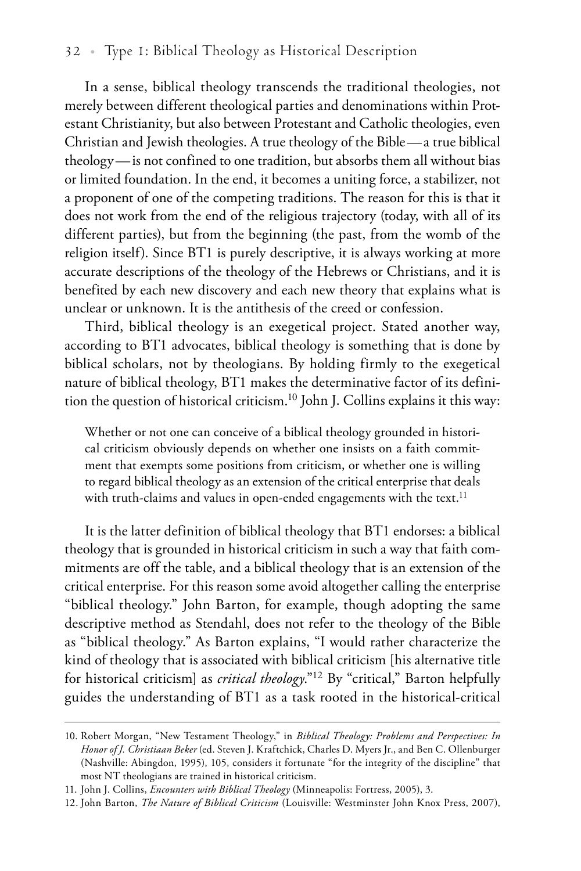### 32 • Type 1: Biblical Theology as Historical Description

In a sense, biblical theology transcends the traditional theologies, not merely between different theological parties and denominations within Protestant Christianity, but also between Protestant and Catholic theologies, even Christian and Jewish theologies. A true theology of the Bible— a true biblical theology— is not confined to one tradition, but absorbs them all without bias or limited foundation. In the end, it becomes a uniting force, a stabilizer, not a proponent of one of the competing traditions. The reason for this is that it does not work from the end of the religious trajectory (today, with all of its different parties), but from the beginning (the past, from the womb of the religion itself). Since BT1 is purely descriptive, it is always working at more accurate descriptions of the theology of the Hebrews or Christians, and it is benefited by each new discovery and each new theory that explains what is unclear or unknown. It is the antithesis of the creed or confession.

Third, biblical theology is an exegetical project. Stated another way, according to BT1 advocates, biblical theology is something that is done by biblical scholars, not by theologians. By holding firmly to the exegetical nature of biblical theology, BT1 makes the determinative factor of its definition the question of historical criticism. 10 John J. Collins explains it this way:

Whether or not one can conceive of a biblical theology grounded in historical criticism obviously depends on whether one insists on a faith commitment that exempts some positions from criticism, or whether one is willing to regard biblical theology as an extension of the critical enterprise that deals with truth-claims and values in open-ended engagements with the text. 11

It is the latter definition of biblical theology that BT1 endorses: a biblical theology that is grounded in historical criticism in such a way that faith commitments are off the table, and a biblical theology that is an extension of the critical enterprise. For this reason some avoid altogether calling the enterprise "biblical theology." John Barton, for example, though adopting the same descriptive method as Stendahl, does not refer to the theology of the Bible as "biblical theology." As Barton explains, "I would rather characterize the kind of theology that is associated with biblical criticism [his alternative title for historical criticism] as *critical theology*."12 By "critical," Barton helpfully guides the understanding of BT1 as a task rooted in the historical-critical

<sup>10.</sup> Robert Morgan, "New Testament Theology," in *Biblical Theology: Problems and Perspectives: In Honor of J. Christiaan Beker* (ed. Steven J. Kraftchick, Charles D. Myers Jr., and Ben C. Ollenburger (Nashville: Abingdon, 1995), 105, considers it fortunate "for the integrity of the discipline" that most NT theologians are trained in historical criticism.

<sup>11.</sup> John J. Collins, *Encounters with Biblical Theology* (Minneapolis: Fortress, 2005), 3.

<sup>12.</sup> John Barton, *The Nature of Biblical Criticism* (Louisville: Westminster John Knox Press, 2007),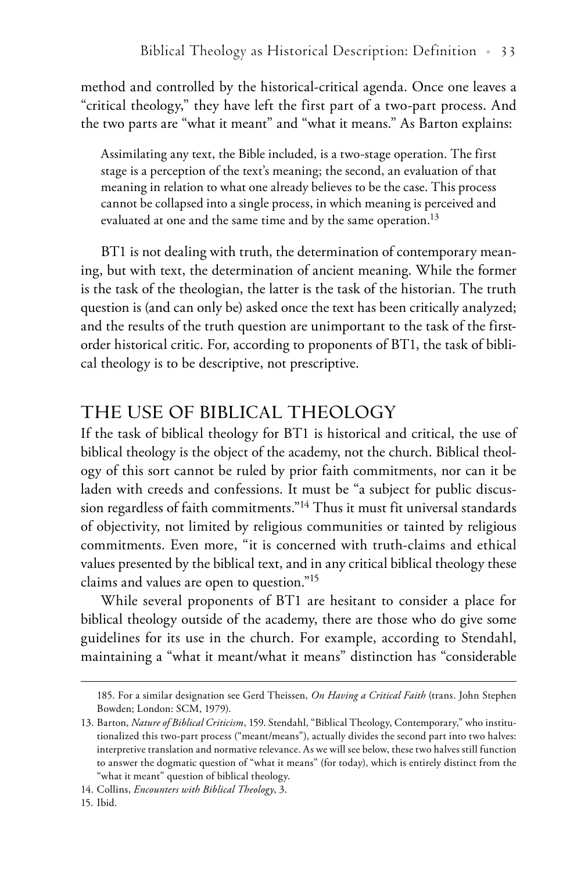method and controlled by the historical-critical agenda. Once one leaves a "critical theology," they have left the first part of a two-part process. And the two parts are "what it meant" and "what it means." As Barton explains:

Assimilating any text, the Bible included, is a two-stage operation. The first stage is a perception of the text's meaning; the second, an evaluation of that meaning in relation to what one already believes to be the case. This process cannot be collapsed into a single process, in which meaning is perceived and evaluated at one and the same time and by the same operation.<sup>13</sup>

BT1 is not dealing with truth, the determination of contemporary meaning, but with text, the determination of ancient meaning. While the former is the task of the theologian, the latter is the task of the historian. The truth question is (and can only be) asked once the text has been critically analyzed; and the results of the truth question are unimportant to the task of the firstorder historical critic. For, according to proponents of BT1, the task of biblical theology is to be descriptive, not prescriptive.

### THE USE OF BIBLICAL THEOLOGY

If the task of biblical theology for BT1 is historical and critical, the use of biblical theology is the object of the academy, not the church. Biblical theology of this sort cannot be ruled by prior faith commitments, nor can it be laden with creeds and confessions. It must be "a subject for public discussion regardless of faith commitments."14 Thus it must fit universal standards of objectivity, not limited by religious communities or tainted by religious commitments. Even more, "it is concerned with truth-claims and ethical values presented by the biblical text, and in any critical biblical theology these claims and values are open to question."15

While several proponents of BT1 are hesitant to consider a place for biblical theology outside of the academy, there are those who do give some guidelines for its use in the church. For example, according to Stendahl, maintaining a "what it meant/what it means" distinction has "considerable

<sup>185.</sup> For a similar designation see Gerd Theissen, *On Having a Critical Faith* (trans. John Stephen Bowden; London: SCM, 1979).

<sup>13.</sup> Barton, *Nature of Biblical Criticism*, 159. Stendahl, "Biblical Theology, Contemporary," who institutionalized this two-part process ("meant/means"), actually divides the second part into two halves: interpretive translation and normative relevance. As we will see below, these two halves still function to answer the dogmatic question of "what it means" (for today), which is entirely distinct from the "what it meant" question of biblical theology.

<sup>14.</sup> Collins, *Encounters with Biblical Theology*, 3.

<sup>15.</sup> Ibid.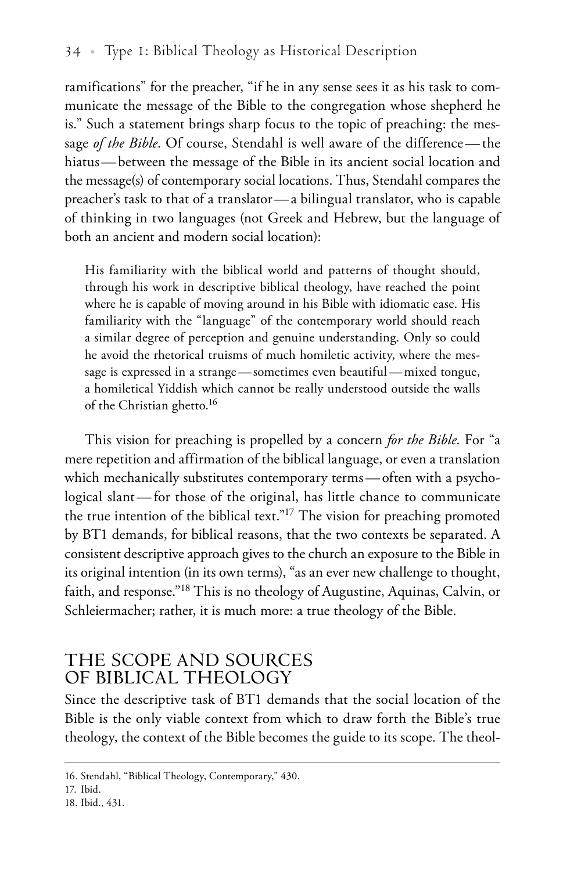ramifications" for the preacher, "if he in any sense sees it as his task to communicate the message of the Bible to the congregation whose shepherd he is." Such a statement brings sharp focus to the topic of preaching: the message *of the Bible*. Of course, Stendahl is well aware of the difference— the hiatus— between the message of the Bible in its ancient social location and the message(s) of contemporary social locations. Thus, Stendahl compares the preacher's task to that of a translator— a bilingual translator, who is capable of thinking in two languages (not Greek and Hebrew, but the language of both an ancient and modern social location):

His familiarity with the biblical world and patterns of thought should, through his work in descriptive biblical theology, have reached the point where he is capable of moving around in his Bible with idiomatic ease. His familiarity with the "language" of the contemporary world should reach a similar degree of perception and genuine understanding. Only so could he avoid the rhetorical truisms of much homiletic activity, where the message is expressed in a strange— sometimes even beautiful— mixed tongue, a homiletical Yiddish which cannot be really understood outside the walls of the Christian ghetto. 16

This vision for preaching is propelled by a concern *for the Bible*. For "a mere repetition and affirmation of the biblical language, or even a translation which mechanically substitutes contemporary terms— often with a psychological slant— for those of the original, has little chance to communicate the true intention of the biblical text."17 The vision for preaching promoted by BT1 demands, for biblical reasons, that the two contexts be separated. A consistent descriptive approach gives to the church an exposure to the Bible in its original intention (in its own terms), "as an ever new challenge to thought, faith, and response."18 This is no theology of Augustine, Aquinas, Calvin, or Schleiermacher; rather, it is much more: a true theology of the Bible.

### THE SCOPE AND SOURCES OF BIBLICAL THEOLOGY

Since the descriptive task of BT1 demands that the social location of the Bible is the only viable context from which to draw forth the Bible's true theology, the context of the Bible becomes the guide to its scope. The theol-

<sup>16.</sup> Stendahl, "Biblical Theology, Contemporary," 430.

<sup>17.</sup> Ibid.

<sup>18.</sup> Ibid., 431.